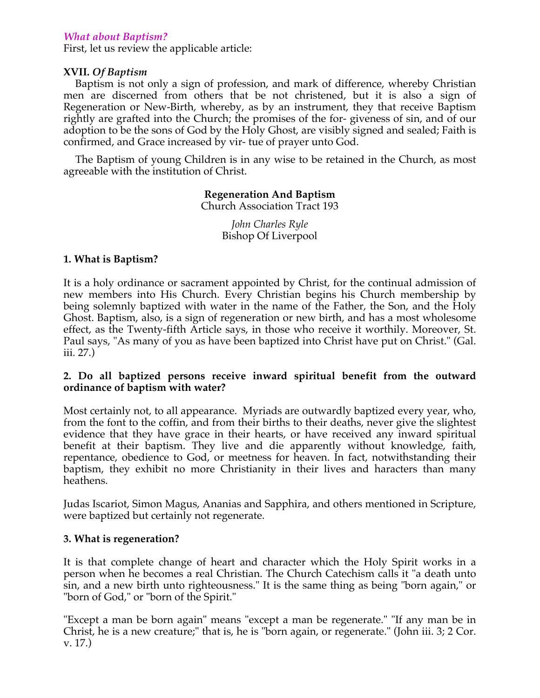# *What about Baptism?*

First, let us review the applicable article:

# **XVII.** *Of Baptism*

Baptism is not only a sign of profession, and mark of difference, whereby Christian men are discerned from others that be not christened, but it is also a sign of Regeneration or New-Birth, whereby, as by an instrument, they that receive Baptism rightly are grafted into the Church; the promises of the for- giveness of sin, and of our adoption to be the sons of God by the Holy Ghost, are visibly signed and sealed; Faith is confirmed, and Grace increased by vir- tue of prayer unto God.

The Baptism of young Children is in any wise to be retained in the Church, as most agreeable with the institution of Christ.

# **Regeneration And Baptism**

Church Association Tract 193

*John Charles Ryle* Bishop Of Liverpool

## **1. What is Baptism?**

It is a holy ordinance or sacrament appointed by Christ, for the continual admission of new members into His Church. Every Christian begins his Church membership by being solemnly baptized with water in the name of the Father, the Son, and the Holy Ghost. Baptism, also, is a sign of regeneration or new birth, and has a most wholesome effect, as the Twenty-fifth Article says, in those who receive it worthily. Moreover, St. Paul says, "As many of you as have been baptized into Christ have put on Christ." (Gal. iii. 27.)

## **2. Do all baptized persons receive inward spiritual benefit from the outward ordinance of baptism with water?**

Most certainly not, to all appearance. Myriads are outwardly baptized every year, who, from the font to the coffin, and from their births to their deaths, never give the slightest evidence that they have grace in their hearts, or have received any inward spiritual benefit at their baptism. They live and die apparently without knowledge, faith, repentance, obedience to God, or meetness for heaven. In fact, notwithstanding their baptism, they exhibit no more Christianity in their lives and haracters than many heathens.

Judas Iscariot, Simon Magus, Ananias and Sapphira, and others mentioned in Scripture, were baptized but certainly not regenerate.

#### **3. What is regeneration?**

It is that complete change of heart and character which the Holy Spirit works in a person when he becomes a real Christian. The Church Catechism calls it "a death unto sin, and a new birth unto righteousness." It is the same thing as being "born again," or "born of God," or "born of the Spirit."

"Except a man be born again" means "except a man be regenerate." "If any man be in Christ, he is a new creature;" that is, he is "born again, or regenerate." (John iii. 3; 2 Cor. v. 17.)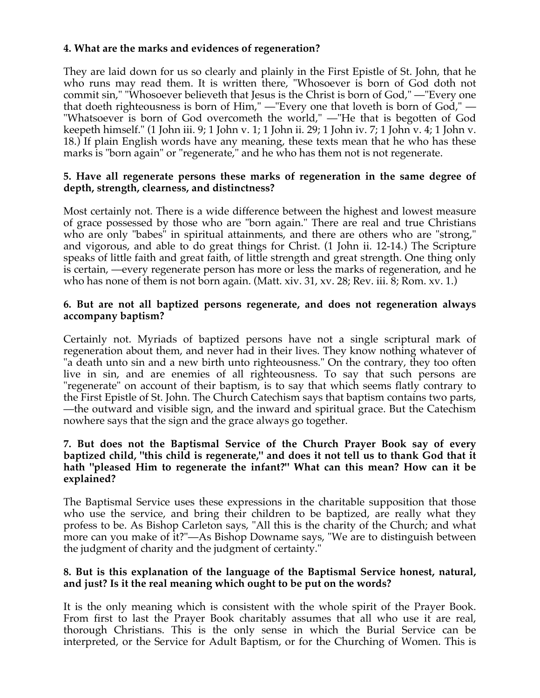# **4. What are the marks and evidences of regeneration?**

They are laid down for us so clearly and plainly in the First Epistle of St. John, that he who runs may read them. It is written there, "Whosoever is born of God doth not commit sin," "Whosoever believeth that Jesus is the Christ is born of God," —"Every one that doeth righteousness is born of Him," —"Every one that loveth is born of God," — "Whatsoever is born of God overcometh the world," —"He that is begotten of God keepeth himself." (1 John iii. 9; 1 John v. 1; 1 John ii. 29; 1 John iv. 7; 1 John v. 4; 1 John v. 18.) If plain English words have any meaning, these texts mean that he who has these marks is "born again" or "regenerate," and he who has them not is not regenerate.

## **5. Have all regenerate persons these marks of regeneration in the same degree of depth, strength, clearness, and distinctness?**

Most certainly not. There is a wide difference between the highest and lowest measure of grace possessed by those who are "born again." There are real and true Christians who are only "babes" in spiritual attainments, and there are others who are "strong," and vigorous, and able to do great things for Christ. (1 John ii. 12-14.) The Scripture speaks of little faith and great faith, of little strength and great strength. One thing only is certain, —every regenerate person has more or less the marks of regeneration, and he who has none of them is not born again. (Matt. xiv. 31, xv. 28; Rev. iii. 8; Rom. xv. 1.)

## **6. But are not all baptized persons regenerate, and does not regeneration always accompany baptism?**

Certainly not. Myriads of baptized persons have not a single scriptural mark of regeneration about them, and never had in their lives. They know nothing whatever of "a death unto sin and a new birth unto righteousness." On the contrary, they too often live in sin, and are enemies of all righteousness. To say that such persons are "regenerate" on account of their baptism, is to say that which seems flatly contrary to the First Epistle of St. John. The Church Catechism says that baptism contains two parts, —the outward and visible sign, and the inward and spiritual grace. But the Catechism nowhere says that the sign and the grace always go together.

#### **7. But does not the Baptismal Service of the Church Prayer Book say of every baptized child, "this child is regenerate," and does it not tell us to thank God that it hath "pleased Him to regenerate the infant?" What can this mean? How can it be explained?**

The Baptismal Service uses these expressions in the charitable supposition that those who use the service, and bring their children to be baptized, are really what they profess to be. As Bishop Carleton says, "All this is the charity of the Church; and what more can you make of it?"—As Bishop Downame says, "We are to distinguish between the judgment of charity and the judgment of certainty."

## **8. But is this explanation of the language of the Baptismal Service honest, natural, and just? Is it the real meaning which ought to be put on the words?**

It is the only meaning which is consistent with the whole spirit of the Prayer Book. From first to last the Prayer Book charitably assumes that all who use it are real, thorough Christians. This is the only sense in which the Burial Service can be interpreted, or the Service for Adult Baptism, or for the Churching of Women. This is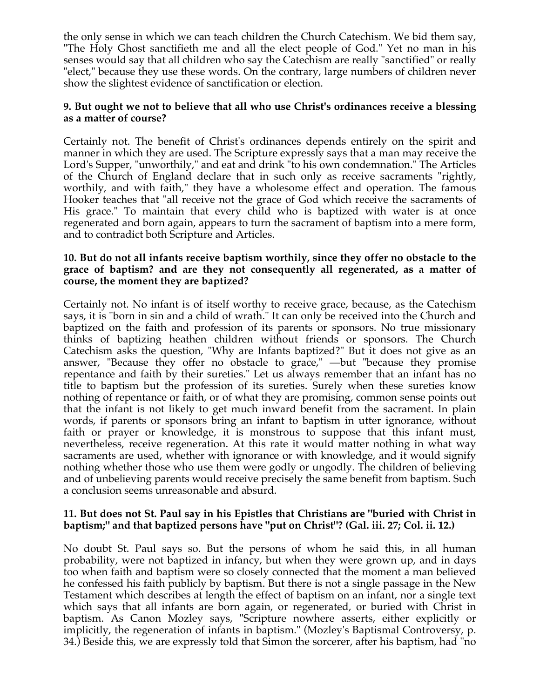the only sense in which we can teach children the Church Catechism. We bid them say, "The Holy Ghost sanctifieth me and all the elect people of God." Yet no man in his senses would say that all children who say the Catechism are really "sanctified" or really "elect," because they use these words. On the contrary, large numbers of children never show the slightest evidence of sanctification or election.

### **9. But ought we not to believe that all who use Christ's ordinances receive a blessing as a matter of course?**

Certainly not. The benefit of Christ's ordinances depends entirely on the spirit and manner in which they are used. The Scripture expressly says that a man may receive the Lord's Supper, "unworthily," and eat and drink "to his own condemnation." The Articles of the Church of England declare that in such only as receive sacraments "rightly, worthily, and with faith," they have a wholesome effect and operation. The famous Hooker teaches that "all receive not the grace of God which receive the sacraments of His grace." To maintain that every child who is baptized with water is at once regenerated and born again, appears to turn the sacrament of baptism into a mere form, and to contradict both Scripture and Articles.

## **10. But do not all infants receive baptism worthily, since they offer no obstacle to the grace of baptism? and are they not consequently all regenerated, as a matter of course, the moment they are baptized?**

Certainly not. No infant is of itself worthy to receive grace, because, as the Catechism says, it is "born in sin and a child of wrath." It can only be received into the Church and baptized on the faith and profession of its parents or sponsors. No true missionary thinks of baptizing heathen children without friends or sponsors. The Church Catechism asks the question, "Why are Infants baptized?" But it does not give as an answer, "Because they offer no obstacle to grace," —but "because they promise repentance and faith by their sureties." Let us always remember that an infant has no title to baptism but the profession of its sureties. Surely when these sureties know nothing of repentance or faith, or of what they are promising, common sense points out that the infant is not likely to get much inward benefit from the sacrament. In plain words, if parents or sponsors bring an infant to baptism in utter ignorance, without faith or prayer or knowledge, it is monstrous to suppose that this infant must, nevertheless, receive regeneration. At this rate it would matter nothing in what way sacraments are used, whether with ignorance or with knowledge, and it would signify nothing whether those who use them were godly or ungodly. The children of believing and of unbelieving parents would receive precisely the same benefit from baptism. Such a conclusion seems unreasonable and absurd.

## **11. But does not St. Paul say in his Epistles that Christians are "buried with Christ in baptism;" and that baptized persons have "put on Christ"? (Gal. iii. 27; Col. ii. 12.)**

No doubt St. Paul says so. But the persons of whom he said this, in all human probability, were not baptized in infancy, but when they were grown up, and in days too when faith and baptism were so closely connected that the moment a man believed he confessed his faith publicly by baptism. But there is not a single passage in the New Testament which describes at length the effect of baptism on an infant, nor a single text which says that all infants are born again, or regenerated, or buried with Christ in baptism. As Canon Mozley says, "Scripture nowhere asserts, either explicitly or implicitly, the regeneration of infants in baptism." (Mozley's Baptismal Controversy, p. 34.) Beside this, we are expressly told that Simon the sorcerer, after his baptism, had "no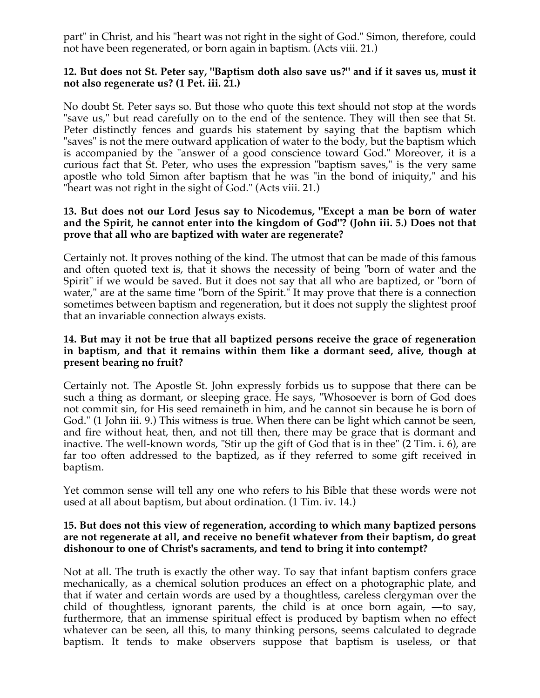part" in Christ, and his "heart was not right in the sight of God." Simon, therefore, could not have been regenerated, or born again in baptism. (Acts viii. 21.)

## **12. But does not St. Peter say, "Baptism doth also save us?" and if it saves us, must it not also regenerate us? (1 Pet. iii. 21.)**

No doubt St. Peter says so. But those who quote this text should not stop at the words "save us," but read carefully on to the end of the sentence. They will then see that St. Peter distinctly fences and guards his statement by saying that the baptism which "saves" is not the mere outward application of water to the body, but the baptism which is accompanied by the "answer of a good conscience toward God." Moreover, it is a curious fact that St. Peter, who uses the expression "baptism saves," is the very same apostle who told Simon after baptism that he was "in the bond of iniquity," and his "heart was not right in the sight of God." (Acts viii. 21.)

## **13. But does not our Lord Jesus say to Nicodemus, "Except a man be born of water and the Spirit, he cannot enter into the kingdom of God"? (John iii. 5.) Does not that prove that all who are baptized with water are regenerate?**

Certainly not. It proves nothing of the kind. The utmost that can be made of this famous and often quoted text is, that it shows the necessity of being "born of water and the Spirit" if we would be saved. But it does not say that all who are baptized, or "born of water," are at the same time "born of the Spirit." It may prove that there is a connection sometimes between baptism and regeneration, but it does not supply the slightest proof that an invariable connection always exists.

## **14. But may it not be true that all baptized persons receive the grace of regeneration in baptism, and that it remains within them like a dormant seed, alive, though at present bearing no fruit?**

Certainly not. The Apostle St. John expressly forbids us to suppose that there can be such a thing as dormant, or sleeping grace. He says, "Whosoever is born of God does not commit sin, for His seed remaineth in him, and he cannot sin because he is born of God." (1 John iii. 9.) This witness is true. When there can be light which cannot be seen, and fire without heat, then, and not till then, there may be grace that is dormant and inactive. The well-known words, "Stir up the gift of God that is in thee" (2 Tim. i. 6), are far too often addressed to the baptized, as if they referred to some gift received in baptism.

Yet common sense will tell any one who refers to his Bible that these words were not used at all about baptism, but about ordination. (1 Tim. iv. 14.)

## **15. But does not this view of regeneration, according to which many baptized persons are not regenerate at all, and receive no benefit whatever from their baptism, do great dishonour to one of Christ's sacraments, and tend to bring it into contempt?**

Not at all. The truth is exactly the other way. To say that infant baptism confers grace mechanically, as a chemical solution produces an effect on a photographic plate, and that if water and certain words are used by a thoughtless, careless clergyman over the child of thoughtless, ignorant parents, the child is at once born again, —to say, furthermore, that an immense spiritual effect is produced by baptism when no effect whatever can be seen, all this, to many thinking persons, seems calculated to degrade baptism. It tends to make observers suppose that baptism is useless, or that